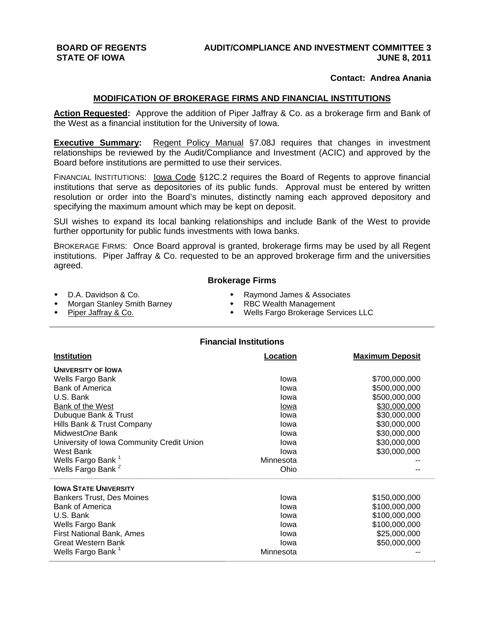# **BOARD OF REGENTS AUDIT/COMPLIANCE AND INVESTMENT COMMITTEE 3 STATE OF IOWA STATE OF IOWA** *CONSUMERATION*

## **Contact: Andrea Anania**

### **MODIFICATION OF BROKERAGE FIRMS AND FINANCIAL INSTITUTIONS**

**Action Requested:** Approve the addition of Piper Jaffray & Co. as a brokerage firm and Bank of the West as a financial institution for the University of Iowa.

**Executive Summary:** Regent Policy Manual §7.08J requires that changes in investment relationships be reviewed by the Audit/Compliance and Investment (ACIC) and approved by the Board before institutions are permitted to use their services.

FINANCIAL INSTITUTIONS: Iowa Code §12C.2 requires the Board of Regents to approve financial institutions that serve as depositories of its public funds. Approval must be entered by written resolution or order into the Board's minutes, distinctly naming each approved depository and specifying the maximum amount which may be kept on deposit.

SUI wishes to expand its local banking relationships and include Bank of the West to provide further opportunity for public funds investments with Iowa banks.

BROKERAGE FIRMS: Once Board approval is granted, brokerage firms may be used by all Regent institutions. Piper Jaffray & Co. requested to be an approved brokerage firm and the universities agreed.

### **Brokerage Firms**

- 
- Morgan Stanley Smith Barney
- 
- D.A. Davidson & Co. Raymond James & Associates
	-
- Piper Jaffray & Co. **A Concerned Accord Concerned Accord Concerned Accord Provider Services LLC**

## **Financial Institutions**

| <b>Institution</b>                        | Location  | <b>Maximum Deposit</b> |
|-------------------------------------------|-----------|------------------------|
| <b>UNIVERSITY OF LOWA</b>                 |           |                        |
| Wells Fargo Bank                          | lowa      | \$700,000,000          |
| <b>Bank of America</b>                    | lowa      | \$500,000,000          |
| U.S. Bank                                 | Iowa      | \$500,000,000          |
| Bank of the West                          | lowa      | \$30,000,000           |
| Dubuque Bank & Trust                      | Iowa      | \$30,000,000           |
| Hills Bank & Trust Company                | Iowa      | \$30,000,000           |
| MidwestOne Bank                           | lowa      | \$30,000,000           |
| University of Iowa Community Credit Union | Iowa      | \$30,000,000           |
| West Bank                                 | lowa      | \$30,000,000           |
| Wells Fargo Bank <sup>1</sup>             | Minnesota |                        |
| Wells Fargo Bank <sup>2</sup>             | Ohio      |                        |
| <b>IOWA STATE UNIVERSITY</b>              |           |                        |
| <b>Bankers Trust, Des Moines</b>          | lowa      | \$150,000,000          |
| <b>Bank of America</b>                    | lowa      | \$100,000,000          |
| U.S. Bank                                 | lowa      | \$100,000,000          |
| Wells Fargo Bank                          | Iowa      | \$100,000,000          |
| First National Bank, Ames                 | Iowa      | \$25,000,000           |
| <b>Great Western Bank</b>                 | Iowa      | \$50,000,000           |
| Wells Fargo Bank <sup>1</sup>             | Minnesota |                        |